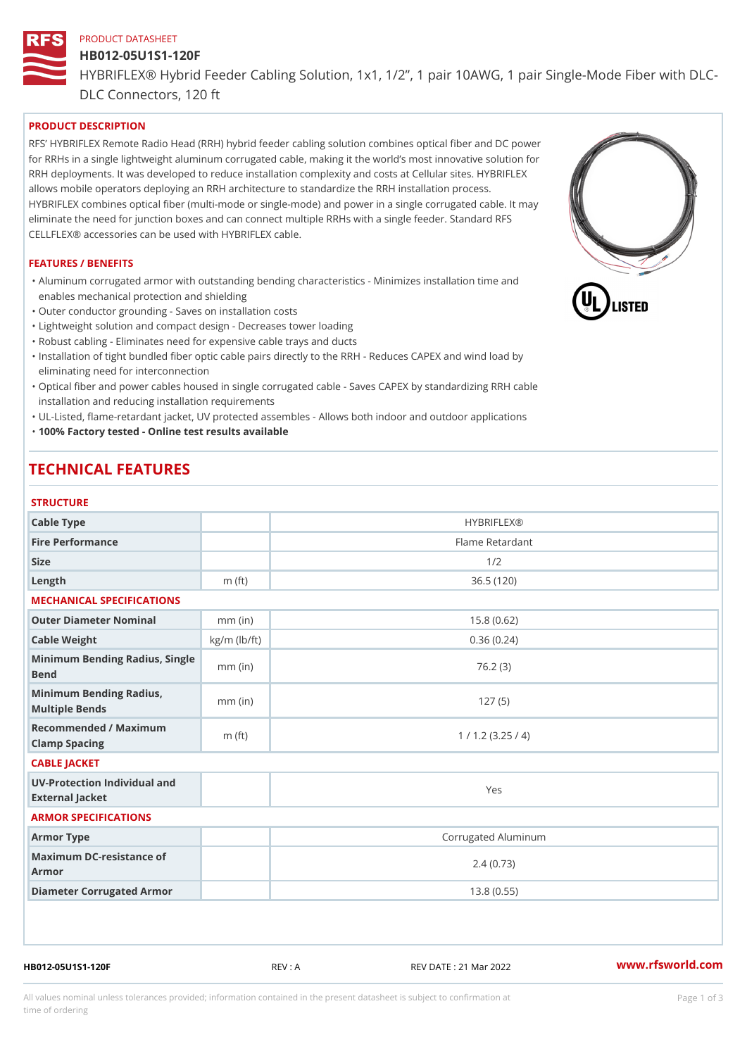# PRODUCT DATASHEET HB012-05U1S1-120F HYBRIFLEX® Hybrid Feeder Cabling Solution, 1x1, 1/2, 1 pair 10AWG, DLC Connectors, 120 ft

## PRODUCT DESCRIPTION

RFS HYBRIFLEX Remote Radio Head (RRH) hybrid feeder cabling solution combines optical fiber and for RRHs in a single lightweight aluminum corrugated cable, making it the world s most innovative s RRH deployments. It was developed to reduce installation complexity and costs at Cellular sites. HY allows mobile operators deploying an RRH architecture to standardize the RRH installation process. HYBRIFLEX combines optical fiber (multi-mode or single-mode) and power in a single corrugated cal eliminate the need for junction boxes and can connect multiple RRHs with a single feeder. Standard CELLFLEX® accessories can be used with HYBRIFLEX cable.

#### FEATURES / BENEFITS

"Aluminum corrugated armor with outstanding bending characteristics - Minimizes installation time a enables mechanical protection and shielding

"Outer conductor grounding - Saves on installation costs

"Lightweight solution and compact design - Decreases tower loading

"Robust cabling - Eliminates need for expensive cable trays and ducts

"Installation of tight bundled fiber optic cable pairs directly to the RRH - Reduces CAPEX and wind eliminating need for interconnection

"Optical fiber and power cables housed in single corrugated cable – Saves CAPEX by standardiz|ng installation and reducing installation requirements

"UL-Listed, flame-retardant jacket, UV protected assembles - Allows both indoor and outdoor applic "100% Factory tested - Online test results available

## TECHNICAL FEATURES

## STRUCTURE

| 3   R U U I U R E                                 |                    |                     |
|---------------------------------------------------|--------------------|---------------------|
| Cable Type                                        |                    | <b>HYBRIFLEX®</b>   |
| Fire Performance                                  |                    | Flame Retardant     |
| Size                                              |                    | 1/2                 |
| $L$ ength                                         | $m$ (ft)           | 36.5(120)           |
| MECHANICAL SPECIFICATIONS                         |                    |                     |
| Outer Diameter Nominal                            | $mm$ (in)          | 15.8(0.62)          |
| Cable Weight                                      | $kg/m$ ( $lb/ft$ ) | 0.36(0.24)          |
| Minimum Bending Radius, Single<br>Bend            |                    | 76.2(3)             |
| Minimum Bending Radius, mm (in)<br>Multiple Bends |                    | 127(5)              |
| Recommended / Maximum<br>Clamp Spacing            | $m$ (ft)           | 1 / 1.2 (3.25 / 4)  |
| CABLE JACKET                                      |                    |                     |
| UV-Protection Individual and<br>External Jacket   |                    | Yes                 |
| ARMOR SPECIFICATIONS                              |                    |                     |
| Armor Type                                        |                    | Corrugated Aluminum |
| Maximum DC-resistance of<br>Armor                 |                    | 2.4(0.73)           |
| Diameter Corrugated Armor                         |                    | 13.8(0.55)          |
|                                                   |                    |                     |

HB012-05U1S1-120F REV : A REV DATE : 21 Mar 2022 [www.](https://www.rfsworld.com)rfsworld.com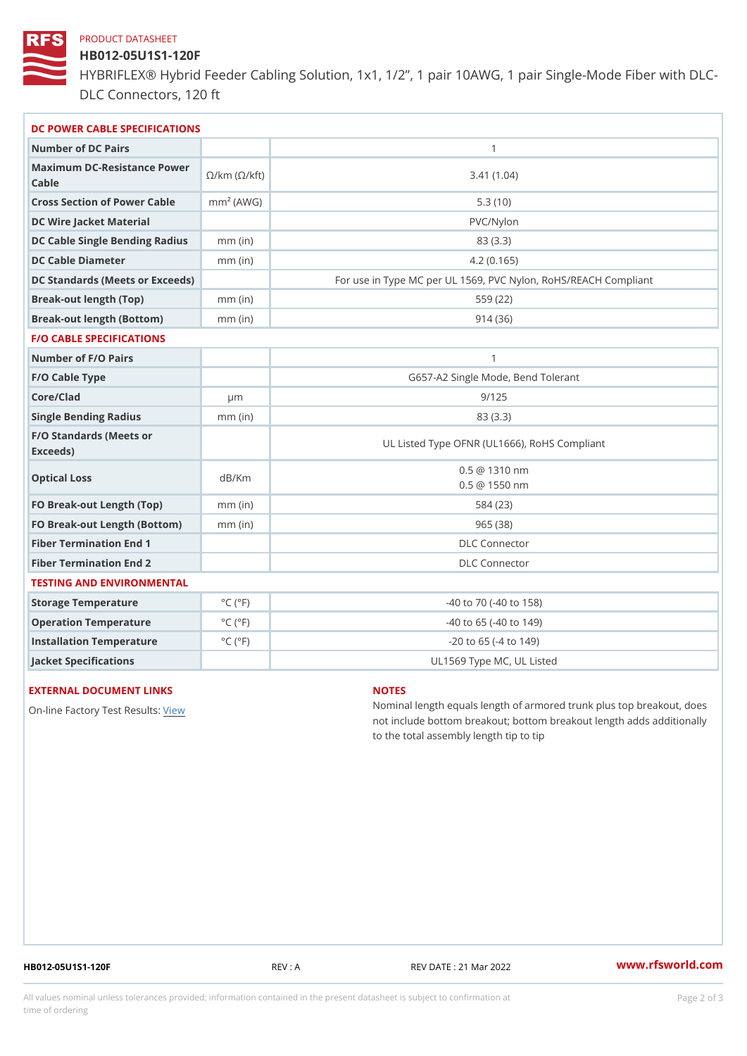#### PRODUCT DATASHEET

## HB012-05U1S1-120F

HYBRIFLEX® Hybrid Feeder Cabling Solution, 1x1, 1/2, 1 pair 10AWG, DLC Connectors, 120 ft

| DC POWER CABLE SPECIFICATIONS                                                                                                   |                             |                                                      |  |  |
|---------------------------------------------------------------------------------------------------------------------------------|-----------------------------|------------------------------------------------------|--|--|
| Number of DC Pairs                                                                                                              |                             | $\mathbf{1}$                                         |  |  |
| Maximum DC-Resistance $\bigotimes_{k=m}^{\infty}$ ( $\bigotimes_{k=m}^{\infty}$ /km ( $\bigotimes_{k=m}^{\infty}$ )<br>$C$ able |                             | 3.41(1.04)                                           |  |  |
| Cross Section of Power Cnamble (AWG)                                                                                            |                             | 5.3(10)                                              |  |  |
| DC Wire Jacket Material                                                                                                         |                             | $PVC/Ny$ lon                                         |  |  |
| DC Cable Single Bending Rhandi(uish)                                                                                            |                             | 83 (3.3)                                             |  |  |
| DC Cable Diameter                                                                                                               | $mm$ (in)                   | 4.2(0.165)                                           |  |  |
| DC Standards (Meets or Exceeds)                                                                                                 |                             | For use in Type MC per UL 1569, PVC Nylon, RoHS/REAC |  |  |
| Break-out length (Top)                                                                                                          | $mm$ (in)                   | 559 (22)                                             |  |  |
| Break-out length (Bottom) mm (in)                                                                                               |                             | 914(36)                                              |  |  |
| <b>F/O CABLE SPECIFICATIONS</b>                                                                                                 |                             |                                                      |  |  |
| Number of F/O Pairs                                                                                                             |                             | $\mathbf{1}$                                         |  |  |
| F/O Cable Type                                                                                                                  |                             | G657-A2 Single Mode, Bend Tolerant                   |  |  |
| Core/Clad                                                                                                                       | $\mu$ m                     | 9/125                                                |  |  |
| Single Bending Radius                                                                                                           | $mm$ (in)                   | 83 (3.3)                                             |  |  |
| F/O Standards (Meets or<br>Exceeds)                                                                                             |                             | UL Listed Type OFNR (UL1666), RoHS Compliant         |  |  |
| Optical Loss                                                                                                                    | dB/Km                       | $0.5 \t@ 1310 nm$<br>$0.5 \t@ 1550 nm$               |  |  |
| FO Break-out Length (Top)mm (in)                                                                                                |                             | 584 (23)                                             |  |  |
| FO Break-out Length (Bottomm) (in)                                                                                              |                             | 965(38)                                              |  |  |
| Fiber Termination End                                                                                                           |                             | DLC Connector                                        |  |  |
| Fiber Termination End 2                                                                                                         |                             | <b>DLC</b> Connector                                 |  |  |
| TESTING AND ENVIRONMENTAL                                                                                                       |                             |                                                      |  |  |
| Storage Temperature                                                                                                             | $^{\circ}$ C ( $^{\circ}$ F | $-40$ to $70$ ( $-40$ to $158$ )                     |  |  |
| Operation Temperature                                                                                                           | $^{\circ}$ C ( $^{\circ}$ F | $-40$ to $65$ ( $-40$ to $149$ )                     |  |  |
| Installation Temperature                                                                                                        | $^{\circ}$ C ( $^{\circ}$ F | $-20$ to 65 ( $-4$ to 149)                           |  |  |
| Jacket Specifications                                                                                                           |                             | UL1569 Type MC, UL Listed                            |  |  |

#### EXTERNAL DOCUMENT LINKS

On-line Factory Te[s](https://www.rfsworld.com/pictures/userfiles/programs/AAST Latest Version.zip)teRwesults:

#### NOTES

Nominal length equals length of armored trunk plus not include bottom breakout; bottom breakout length to the total assembly length tip to tip

HB012-05U1S1-120F REV : A REV DATE : 21 Mar 2022 [www.](https://www.rfsworld.com)rfsworld.com